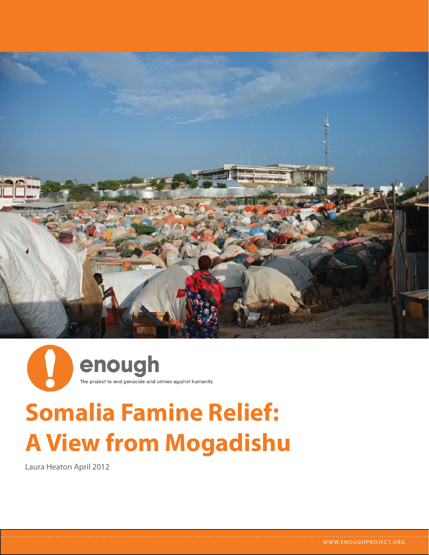



# **Somalia Famine Relief: A View from Mogadishu**

Laura Heaton April 2012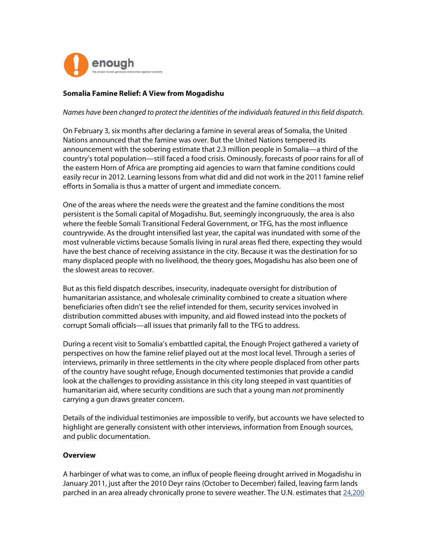

## **Somalia Famine Relief: A View from Mogadishu**

#### Names have been changed to protect the identities of the individuals featured in this field dispatch.

On February 3, six months after declaring a famine in several areas of Somalia, the United Nations announced that the famine was over. But the United Nations tempered its announcement with the sobering estimate that 2.3 million people in Somalia—a third of the country's total population—still faced a food crisis. Ominously, forecasts of poor rains for all of the eastern Horn of Africa are prompting aid agencies to warn that famine conditions could easily recur in 2012. Learning lessons from what did and did not work in the 2011 famine relief efforts in Somalia is thus a matter of urgent and immediate concern.

One of the areas where the needs were the greatest and the famine conditions the most persistent is the Somali capital of Mogadishu. But, seemingly incongruously, the area is also where the feeble Somali Transitional Federal Government, or TFG, has the most influence countrywide. As the drought intensified last year, the capital was inundated with some of the most vulnerable victims because Somalis living in rural areas fled there, expecting they would have the best chance of receiving assistance in the city. Because it was the destination for so many displaced people with no livelihood, the theory goes, Mogadishu has also been one of the slowest areas to recover.

But as this field dispatch describes, insecurity, inadequate oversight for distribution of humanitarian assistance, and wholesale criminality combined to create a situation where beneficiaries often didn't see the relief intended for them, security services involved in distribution committed abuses with impunity, and aid flowed instead into the pockets of corrupt Somali officials—all issues that primarily fall to the TFG to address.

During a recent visit to Somalia's embattled capital, the Enough Project gathered a variety of perspectives on how the famine relief played out at the most local level. Through a series of interviews, primarily in three settlements in the city where people displaced from other parts of the country have sought refuge, Enough documented testimonies that provide a candid look at the challenges to providing assistance in this city long steeped in vast quantities of humanitarian aid, where security conditions are such that a young man not prominently carrying a gun draws greater concern.

Details of the individual testimonies are impossible to verify, but accounts we have selected to highlight are generally consistent with other interviews, information from Enough sources, and public documentation.

#### **Overview**

A harbinger of what was to come, an influx of people fleeing drought arrived in Mogadishu in January 2011, just after the 2010 Deyr rains (October to December) failed, leaving farm lands parched in an area already chronically prone to severe weather. The U.N. estimates that 24,200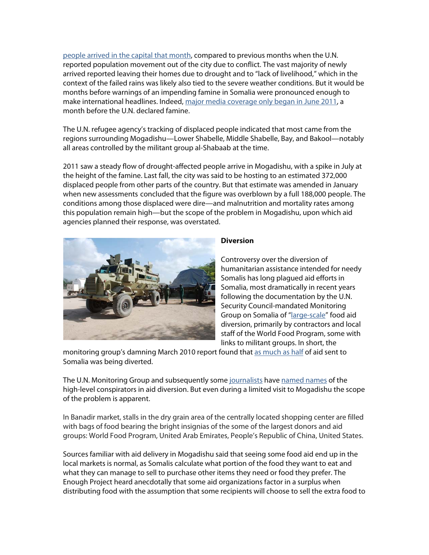people arrived in the capital that month, compared to previous months when the U.N. reported population movement out of the city due to conflict. The vast majority of newly arrived reported leaving their homes due to drought and to "lack of livelihood," which in the context of the failed rains was likely also tied to the severe weather conditions. But it would be months before warnings of an impending famine in Somalia were pronounced enough to make international headlines. Indeed, major media coverage only began in June 2011, a month before the U.N. declared famine.

The U.N. refugee agency's tracking of displaced people indicated that most came from the regions surrounding Mogadishu—Lower Shabelle, Middle Shabelle, Bay, and Bakool—notably all areas controlled by the militant group al-Shabaab at the time.

2011 saw a steady flow of drought-affected people arrive in Mogadishu, with a spike in July at the height of the famine. Last fall, the city was said to be hosting to an estimated 372,000 displaced people from other parts of the country. But that estimate was amended in January when new assessments concluded that the figure was overblown by a full 188,000 people. The conditions among those displaced were dire—and malnutrition and mortality rates among this population remain high—but the scope of the problem in Mogadishu, upon which aid agencies planned their response, was overstated.



# **Diversion**

Controversy over the diversion of humanitarian assistance intended for needy Somalis has long plagued aid efforts in Somalia, most dramatically in recent years following the documentation by the U.N. Security Council-mandated Monitoring Group on Somalia of "large-scale" food aid diversion, primarily by contractors and local staff of the World Food Program, some with links to militant groups. In short, the

monitoring group's damning March 2010 report found that as much as half of aid sent to Somalia was being diverted.

The U.N. Monitoring Group and subsequently some journalists have named names of the high-level conspirators in aid diversion. But even during a limited visit to Mogadishu the scope of the problem is apparent.

In Banadir market, stalls in the dry grain area of the centrally located shopping center are filled with bags of food bearing the bright insignias of the some of the largest donors and aid groups: World Food Program, United Arab Emirates, People's Republic of China, United States.

Sources familiar with aid delivery in Mogadishu said that seeing some food aid end up in the local markets is normal, as Somalis calculate what portion of the food they want to eat and what they can manage to sell to purchase other items they need or food they prefer. The Enough Project heard anecdotally that some aid organizations factor in a surplus when distributing food with the assumption that some recipients will choose to sell the extra food to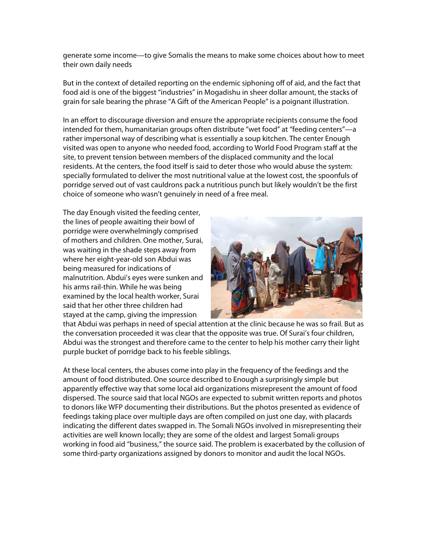generate some income—to give Somalis the means to make some choices about how to meet their own daily needs

But in the context of detailed reporting on the endemic siphoning off of aid, and the fact that food aid is one of the biggest "industries" in Mogadishu in sheer dollar amount, the stacks of grain for sale bearing the phrase "A Gift of the American People" is a poignant illustration.

In an effort to discourage diversion and ensure the appropriate recipients consume the food intended for them, humanitarian groups often distribute "wet food" at "feeding centers"—a rather impersonal way of describing what is essentially a soup kitchen. The center Enough visited was open to anyone who needed food, according to World Food Program staff at the site, to prevent tension between members of the displaced community and the local residents. At the centers, the food itself is said to deter those who would abuse the system: specially formulated to deliver the most nutritional value at the lowest cost, the spoonfuls of porridge served out of vast cauldrons pack a nutritious punch but likely wouldn't be the first choice of someone who wasn't genuinely in need of a free meal.

The day Enough visited the feeding center, the lines of people awaiting their bowl of porridge were overwhelmingly comprised of mothers and children. One mother, Surai, was waiting in the shade steps away from where her eight-year-old son Abdui was being measured for indications of malnutrition. Abdui's eyes were sunken and his arms rail-thin. While he was being examined by the local health worker, Surai said that her other three children had stayed at the camp, giving the impression



that Abdui was perhaps in need of special attention at the clinic because he was so frail. But as the conversation proceeded it was clear that the opposite was true. Of Surai's four children, Abdui was the strongest and therefore came to the center to help his mother carry their light purple bucket of porridge back to his feeble siblings.

At these local centers, the abuses come into play in the frequency of the feedings and the amount of food distributed. One source described to Enough a surprisingly simple but apparently effective way that some local aid organizations misrepresent the amount of food dispersed. The source said that local NGOs are expected to submit written reports and photos to donors like WFP documenting their distributions. But the photos presented as evidence of feedings taking place over multiple days are often compiled on just one day, with placards indicating the different dates swapped in. The Somali NGOs involved in misrepresenting their activities are well known locally; they are some of the oldest and largest Somali groups working in food aid "business," the source said. The problem is exacerbated by the collusion of some third-party organizations assigned by donors to monitor and audit the local NGOs.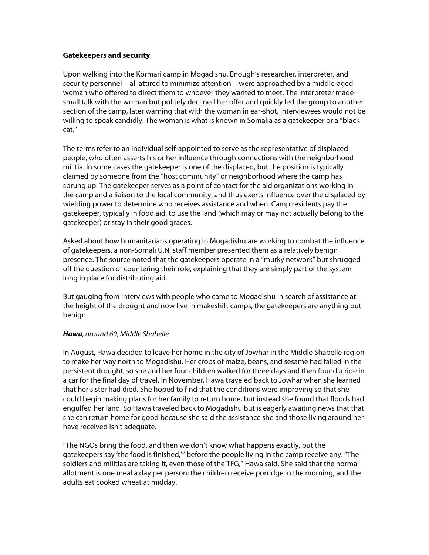#### **Gatekeepers and security**

Upon walking into the Kormari camp in Mogadishu, Enough's researcher, interpreter, and security personnel—all attired to minimize attention—were approached by a middle-aged woman who offered to direct them to whoever they wanted to meet. The interpreter made small talk with the woman but politely declined her offer and quickly led the group to another section of the camp, later warning that with the woman in ear-shot, interviewees would not be willing to speak candidly. The woman is what is known in Somalia as a gatekeeper or a "black cat."

The terms refer to an individual self-appointed to serve as the representative of displaced people, who often asserts his or her influence through connections with the neighborhood militia. In some cases the gatekeeper is one of the displaced, but the position is typically claimed by someone from the "host community" or neighborhood where the camp has sprung up. The gatekeeper serves as a point of contact for the aid organizations working in the camp and a liaison to the local community, and thus exerts influence over the displaced by wielding power to determine who receives assistance and when. Camp residents pay the gatekeeper, typically in food aid, to use the land (which may or may not actually belong to the gatekeeper) or stay in their good graces.

Asked about how humanitarians operating in Mogadishu are working to combat the influence of gatekeepers, a non-Somali U.N. staff member presented them as a relatively benign presence. The source noted that the gatekeepers operate in a "murky network" but shrugged off the question of countering their role, explaining that they are simply part of the system long in place for distributing aid.

But gauging from interviews with people who came to Mogadishu in search of assistance at the height of the drought and now live in makeshift camps, the gatekeepers are anything but benign.

#### **Hawa**, around 60, Middle Shabelle

In August, Hawa decided to leave her home in the city of Jowhar in the Middle Shabelle region to make her way north to Mogadishu. Her crops of maize, beans, and sesame had failed in the persistent drought, so she and her four children walked for three days and then found a ride in a car for the final day of travel. In November, Hawa traveled back to Jowhar when she learned that her sister had died. She hoped to find that the conditions were improving so that she could begin making plans for her family to return home, but instead she found that floods had engulfed her land. So Hawa traveled back to Mogadishu but is eagerly awaiting news that that she can return home for good because she said the assistance she and those living around her have received isn't adequate.

"The NGOs bring the food, and then we don't know what happens exactly, but the gatekeepers say 'the food is finished,'" before the people living in the camp receive any. "The soldiers and militias are taking it, even those of the TFG," Hawa said. She said that the normal allotment is one meal a day per person; the children receive porridge in the morning, and the adults eat cooked wheat at midday.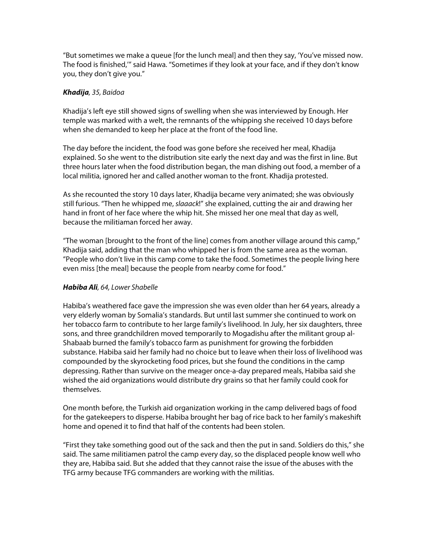"But sometimes we make a queue [for the lunch meal] and then they say, 'You've missed now. The food is finished,'" said Hawa. "Sometimes if they look at your face, and if they don't know you, they don't give you."

## **Khadija**, 35, Baidoa

Khadija's left eye still showed signs of swelling when she was interviewed by Enough. Her temple was marked with a welt, the remnants of the whipping she received 10 days before when she demanded to keep her place at the front of the food line.

The day before the incident, the food was gone before she received her meal, Khadija explained. So she went to the distribution site early the next day and was the first in line. But three hours later when the food distribution began, the man dishing out food, a member of a local militia, ignored her and called another woman to the front. Khadija protested.

As she recounted the story 10 days later, Khadija became very animated; she was obviously still furious. "Then he whipped me, slaaack!" she explained, cutting the air and drawing her hand in front of her face where the whip hit. She missed her one meal that day as well, because the militiaman forced her away.

"The woman [brought to the front of the line] comes from another village around this camp," Khadija said, adding that the man who whipped her is from the same area as the woman. "People who don't live in this camp come to take the food. Sometimes the people living here even miss [the meal] because the people from nearby come for food."

# **Habiba Ali**, 64, Lower Shabelle

Habiba's weathered face gave the impression she was even older than her 64 years, already a very elderly woman by Somalia's standards. But until last summer she continued to work on her tobacco farm to contribute to her large family's livelihood. In July, her six daughters, three sons, and three grandchildren moved temporarily to Mogadishu after the militant group al-Shabaab burned the family's tobacco farm as punishment for growing the forbidden substance. Habiba said her family had no choice but to leave when their loss of livelihood was compounded by the skyrocketing food prices, but she found the conditions in the camp depressing. Rather than survive on the meager once-a-day prepared meals, Habiba said she wished the aid organizations would distribute dry grains so that her family could cook for themselves.

One month before, the Turkish aid organization working in the camp delivered bags of food for the gatekeepers to disperse. Habiba brought her bag of rice back to her family's makeshift home and opened it to find that half of the contents had been stolen.

"First they take something good out of the sack and then the put in sand. Soldiers do this," she said. The same militiamen patrol the camp every day, so the displaced people know well who they are, Habiba said. But she added that they cannot raise the issue of the abuses with the TFG army because TFG commanders are working with the militias.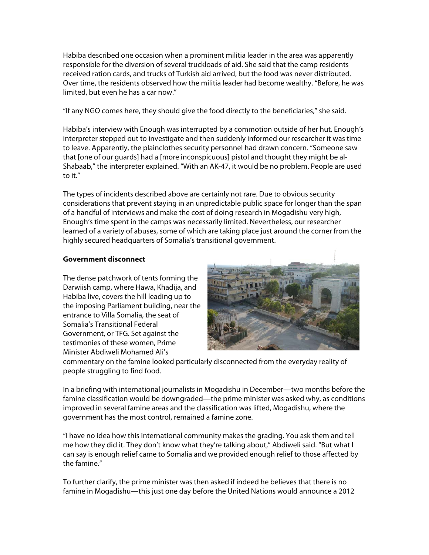Habiba described one occasion when a prominent militia leader in the area was apparently responsible for the diversion of several truckloads of aid. She said that the camp residents received ration cards, and trucks of Turkish aid arrived, but the food was never distributed. Over time, the residents observed how the militia leader had become wealthy. "Before, he was limited, but even he has a car now."

"If any NGO comes here, they should give the food directly to the beneficiaries," she said.

Habiba's interview with Enough was interrupted by a commotion outside of her hut. Enough's interpreter stepped out to investigate and then suddenly informed our researcher it was time to leave. Apparently, the plainclothes security personnel had drawn concern. "Someone saw that [one of our guards] had a [more inconspicuous] pistol and thought they might be al-Shabaab," the interpreter explained. "With an AK-47, it would be no problem. People are used to it."

The types of incidents described above are certainly not rare. Due to obvious security considerations that prevent staying in an unpredictable public space for longer than the span of a handful of interviews and make the cost of doing research in Mogadishu very high, Enough's time spent in the camps was necessarily limited. Nevertheless, our researcher learned of a variety of abuses, some of which are taking place just around the corner from the highly secured headquarters of Somalia's transitional government.

## **Government disconnect**

The dense patchwork of tents forming the Darwiish camp, where Hawa, Khadija, and Habiba live, covers the hill leading up to the imposing Parliament building, near the entrance to Villa Somalia, the seat of Somalia's Transitional Federal Government, or TFG. Set against the testimonies of these women, Prime Minister Abdiweli Mohamed Ali's



commentary on the famine looked particularly disconnected from the everyday reality of people struggling to find food.

In a briefing with international journalists in Mogadishu in December—two months before the famine classification would be downgraded—the prime minister was asked why, as conditions improved in several famine areas and the classification was lifted, Mogadishu, where the government has the most control, remained a famine zone.

"I have no idea how this international community makes the grading. You ask them and tell me how they did it. They don't know what they're talking about," Abdiweli said. "But what I can say is enough relief came to Somalia and we provided enough relief to those affected by the famine."

To further clarify, the prime minister was then asked if indeed he believes that there is no famine in Mogadishu—this just one day before the United Nations would announce a 2012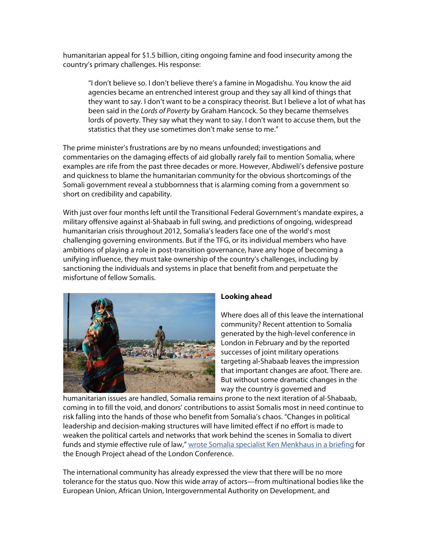humanitarian appeal for \$1.5 billion, citing ongoing famine and food insecurity among the country's primary challenges. His response:

"I don't believe so. I don't believe there's a famine in Mogadishu. You know the aid agencies became an entrenched interest group and they say all kind of things that they want to say. I don't want to be a conspiracy theorist. But I believe a lot of what has been said in the Lords of Poverty by Graham Hancock. So they became themselves lords of poverty. They say what they want to say. I don't want to accuse them, but the statistics that they use sometimes don't make sense to me."

The prime minister's frustrations are by no means unfounded; investigations and commentaries on the damaging effects of aid globally rarely fail to mention Somalia, where examples are rife from the past three decades or more. However, Abdiweli's defensive posture and quickness to blame the humanitarian community for the obvious shortcomings of the Somali government reveal a stubbornness that is alarming coming from a government so short on credibility and capability.

With just over four months left until the Transitional Federal Government's mandate expires, a military offensive against al-Shabaab in full swing, and predictions of ongoing, widespread humanitarian crisis throughout 2012, Somalia's leaders face one of the world's most challenging governing environments. But if the TFG, or its individual members who have ambitions of playing a role in post-transition governance, have any hope of becoming a unifying influence, they must take ownership of the country's challenges, including by sanctioning the individuals and systems in place that benefit from and perpetuate the misfortune of fellow Somalis.



# **Looking ahead**

Where does all of this leave the international community? Recent attention to Somalia generated by the high-level conference in London in February and by the reported successes of joint military operations targeting al-Shabaab leaves the impression that important changes are afoot. There are. But without some dramatic changes in the way the country is governed and

humanitarian issues are handled, Somalia remains prone to the next iteration of al-Shabaab, coming in to fill the void, and donors' contributions to assist Somalis most in need continue to risk falling into the hands of those who benefit from Somalia's chaos. "Changes in political leadership and decision-making structures will have limited effect if no effort is made to weaken the political cartels and networks that work behind the scenes in Somalia to divert funds and stymie effective rule of law," wrote Somalia specialist Ken Menkhaus in a briefing for the Enough Project ahead of the London Conference.

The international community has already expressed the view that there will be no more tolerance for the status quo. Now this wide array of actors—from multinational bodies like the European Union, African Union, Intergovernmental Authority on Development, and